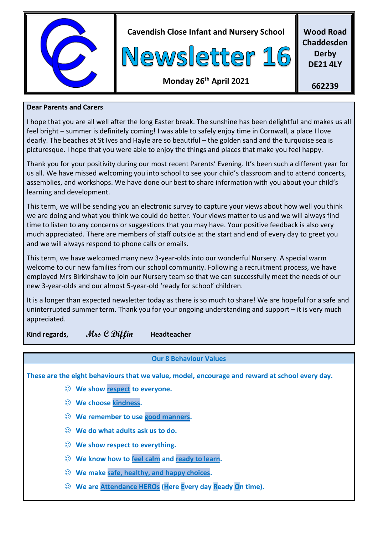

**Cavendish Close Infant and Nursery School**



**Wood Road Chaddesden Derby DE21 4LY**

# **Monday 26 th April 2021**

**662239**

#### **Dear Parents and Carers**

I hope that you are all well after the long Easter break. The sunshine has been delightful and makes us all feel bright – summer is definitely coming! I was able to safely enjoy time in Cornwall, a place I love dearly. The beaches at St Ives and Hayle are so beautiful – the golden sand and the turquoise sea is picturesque. I hope that you were able to enjoy the things and places that make you feel happy.

Thank you for your positivity during our most recent Parents' Evening. It's been such a different year for us all. We have missed welcoming you into school to see your child's classroom and to attend concerts, assemblies, and workshops. We have done our best to share information with you about your child's learning and development.

This term, we will be sending you an electronic survey to capture your views about how well you think we are doing and what you think we could do better. Your views matter to us and we will always find time to listen to any concerns or suggestions that you may have. Your positive feedback is also very much appreciated. There are members of staff outside at the start and end of every day to greet you and we will always respond to phone calls or emails.

This term, we have welcomed many new 3-year-olds into our wonderful Nursery. A special warm welcome to our new families from our school community. Following a recruitment process, we have employed Mrs Birkinshaw to join our Nursery team so that we can successfully meet the needs of our new 3-year-olds and our almost 5-year-old 'ready for school' children.

It is a longer than expected newsletter today as there is so much to share! We are hopeful for a safe and uninterrupted summer term. Thank you for your ongoing understanding and support – it is very much appreciated.

**Kind regards, Mrs C Diffin Headteacher**

# **Our 8 Behaviour Values**

**These are the eight behaviours that we value, model, encourage and reward at school every day.**

- **We show respect to everyone.**
- **We choose kindness.**
- **We remember to use good manners.**
- **We do what adults ask us to do.**
- **We show respect to everything.**
- **We know how to feel calm and ready to learn.**
- **We make safe, healthy, and happy choices.**
- **We are Attendance HEROs (Here Every day Ready On time).**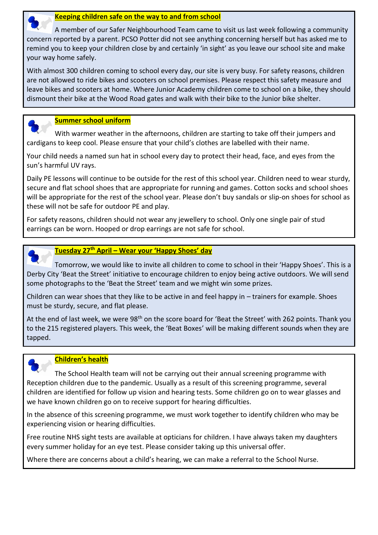

 A member of our Safer Neighbourhood Team came to visit us last week following a community concern reported by a parent. PCSO Potter did not see anything concerning herself but has asked me to remind you to keep your children close by and certainly 'in sight' as you leave our school site and make your way home safely.

With almost 300 children coming to school every day, our site is very busy. For safety reasons, children are not allowed to ride bikes and scooters on school premises. Please respect this safety measure and leave bikes and scooters at home. Where Junior Academy children come to school on a bike, they should dismount their bike at the Wood Road gates and walk with their bike to the Junior bike shelter.



### **Summer school uniform**

 With warmer weather in the afternoons, children are starting to take off their jumpers and cardigans to keep cool. Please ensure that your child's clothes are labelled with their name.

Your child needs a named sun hat in school every day to protect their head, face, and eyes from the sun's harmful UV rays.

Daily PE lessons will continue to be outside for the rest of this school year. Children need to wear sturdy, secure and flat school shoes that are appropriate for running and games. Cotton socks and school shoes will be appropriate for the rest of the school year. Please don't buy sandals or slip-on shoes for school as these will not be safe for outdoor PE and play.

For safety reasons, children should not wear any jewellery to school. Only one single pair of stud earrings can be worn. Hooped or drop earrings are not safe for school.



#### **Tuesday 27th April – Wear your 'Happy Shoes' day**

 Tomorrow, we would like to invite all children to come to school in their 'Happy Shoes'. This is a Derby City 'Beat the Street' initiative to encourage children to enjoy being active outdoors. We will send some photographs to the 'Beat the Street' team and we might win some prizes.

Children can wear shoes that they like to be active in and feel happy in – trainers for example. Shoes must be sturdy, secure, and flat please.

At the end of last week, we were 98<sup>th</sup> on the score board for 'Beat the Street' with 262 points. Thank you to the 215 registered players. This week, the 'Beat Boxes' will be making different sounds when they are tapped.



#### **Children's health**

 The School Health team will not be carrying out their annual screening programme with Reception children due to the pandemic. Usually as a result of this screening programme, several children are identified for follow up vision and hearing tests. Some children go on to wear glasses and we have known children go on to receive support for hearing difficulties.

In the absence of this screening programme, we must work together to identify children who may be experiencing vision or hearing difficulties.

Free routine NHS sight tests are available at opticians for children. I have always taken my daughters every summer holiday for an eye test. Please consider taking up this universal offer.

Where there are concerns about a child's hearing, we can make a referral to the School Nurse.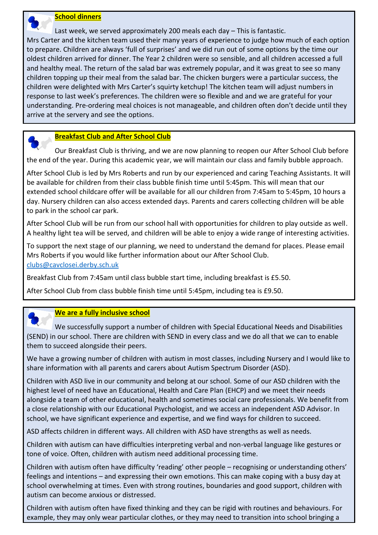

 Last week, we served approximately 200 meals each day – This is fantastic. Mrs Carter and the kitchen team used their many years of experience to judge how much of each option to prepare. Children are always 'full of surprises' and we did run out of some options by the time our oldest children arrived for dinner. The Year 2 children were so sensible, and all children accessed a full and healthy meal. The return of the salad bar was extremely popular, and it was great to see so many children topping up their meal from the salad bar. The chicken burgers were a particular success, the children were delighted with Mrs Carter's squirty ketchup! The kitchen team will adjust numbers in response to last week's preferences. The children were so flexible and and we are grateful for your understanding. Pre-ordering meal choices is not manageable, and children often don't decide until they arrive at the servery and see the options.

#### **Breakfast Club and After School Club**

 Our Breakfast Club is thriving, and we are now planning to reopen our After School Club before the end of the year. During this academic year, we will maintain our class and family bubble approach.

After School Club is led by Mrs Roberts and run by our experienced and caring Teaching Assistants. It will be available for children from their class bubble finish time until 5:45pm. This will mean that our extended school childcare offer will be available for all our children from 7:45am to 5:45pm, 10 hours a day. Nursery children can also access extended days. Parents and carers collecting children will be able to park in the school car park.

After School Club will be run from our school hall with opportunities for children to play outside as well. A healthy light tea will be served, and children will be able to enjoy a wide range of interesting activities.

To support the next stage of our planning, we need to understand the demand for places. Please email Mrs Roberts if you would like further information about our After School Club. [clubs@cavclosei.derby.sch.uk](mailto:clubs@cavclosei.derby.sch.uk)

Breakfast Club from 7:45am until class bubble start time, including breakfast is £5.50.

After School Club from class bubble finish time until 5:45pm, including tea is £9.50.

#### **We are a fully inclusive school**

 We successfully support a number of children with Special Educational Needs and Disabilities (SEND) in our school. There are children with SEND in every class and we do all that we can to enable them to succeed alongside their peers.

We have a growing number of children with autism in most classes, including Nursery and I would like to share information with all parents and carers about Autism Spectrum Disorder (ASD).

Children with ASD live in our community and belong at our school. Some of our ASD children with the highest level of need have an Educational, Health and Care Plan (EHCP) and we meet their needs alongside a team of other educational, health and sometimes social care professionals. We benefit from a close relationship with our Educational Psychologist, and we access an independent ASD Advisor. In school, we have significant experience and expertise, and we find ways for children to succeed.

ASD affects children in different ways. All children with ASD have strengths as well as needs.

Children with autism can have difficulties interpreting verbal and non-verbal language like gestures or tone of voice. Often, children with autism need additional processing time.

Children with autism often have difficulty 'reading' other people – recognising or understanding others' feelings and intentions – and expressing their own emotions. This can make coping with a busy day at school overwhelming at times. Even with strong routines, boundaries and good support, children with autism can become anxious or distressed.

Children with autism often have fixed thinking and they can be rigid with routines and behaviours. For example, they may only wear particular clothes, or they may need to transition into school bringing a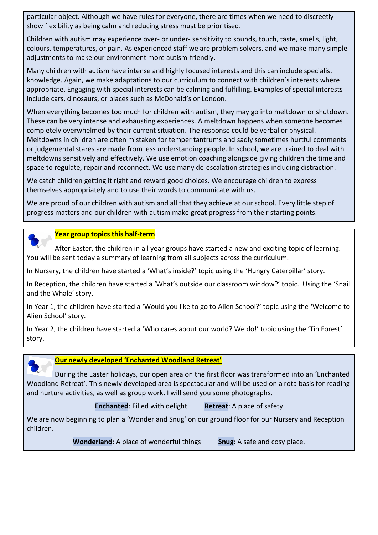particular object. Although we have rules for everyone, there are times when we need to discreetly show flexibility as being calm and reducing stress must be prioritised.

Children with autism may experience over- or under- sensitivity to sounds, touch, taste, smells, light, colours, temperatures, or pain. As experienced staff we are problem solvers, and we make many simple adjustments to make our environment more autism-friendly.

Many children with autism have intense and highly focused interests and this can include specialist knowledge. Again, we make adaptations to our curriculum to connect with children's interests where appropriate. Engaging with special interests can be calming and fulfilling. Examples of special interests include cars, dinosaurs, or places such as McDonald's or London.

When everything becomes too much for children with autism, they may go into meltdown or shutdown. These can be very intense and exhausting experiences. A meltdown happens when someone becomes completely overwhelmed by their current situation. The response could be verbal or physical. Meltdowns in children are often mistaken for temper tantrums and sadly sometimes hurtful comments or judgemental stares are made from less understanding people. In school, we are trained to deal with meltdowns sensitively and effectively. We use emotion coaching alongside giving children the time and space to regulate, repair and reconnect. We use many de-escalation strategies including distraction.

We catch children getting it right and reward good choices. We encourage children to express themselves appropriately and to use their words to communicate with us.

We are proud of our children with autism and all that they achieve at our school. Every little step of progress matters and our children with autism make great progress from their starting points.



#### **Year group topics this half-term**

 After Easter, the children in all year groups have started a new and exciting topic of learning. You will be sent today a summary of learning from all subjects across the curriculum.

In Nursery, the children have started a 'What's inside?' topic using the 'Hungry Caterpillar' story.

In Reception, the children have started a 'What's outside our classroom window?' topic. Using the 'Snail and the Whale' story.

In Year 1, the children have started a 'Would you like to go to Alien School?' topic using the 'Welcome to Alien School' story.

In Year 2, the children have started a 'Who cares about our world? We do!' topic using the 'Tin Forest' story.



# **Our newly developed 'Enchanted Woodland Retreat'**

 During the Easter holidays, our open area on the first floor was transformed into an 'Enchanted Woodland Retreat'. This newly developed area is spectacular and will be used on a rota basis for reading and nurture activities, as well as group work. I will send you some photographs.

**Enchanted:** Filled with delight **Retreat:** A place of safety

We are now beginning to plan a 'Wonderland Snug' on our ground floor for our Nursery and Reception children.

**Wonderland**: A place of wonderful things **Snug**: A safe and cosy place.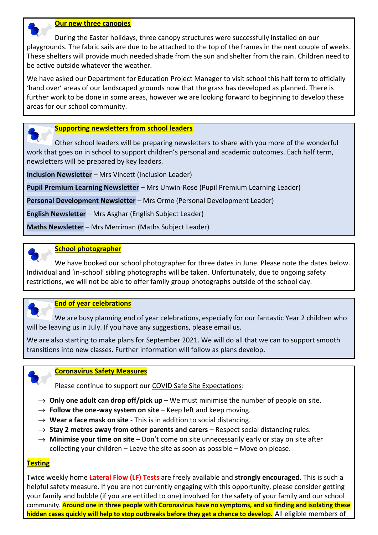

#### **Our new three canopies**

 During the Easter holidays, three canopy structures were successfully installed on our playgrounds. The fabric sails are due to be attached to the top of the frames in the next couple of weeks. These shelters will provide much needed shade from the sun and shelter from the rain. Children need to be active outside whatever the weather.

We have asked our Department for Education Project Manager to visit school this half term to officially 'hand over' areas of our landscaped grounds now that the grass has developed as planned. There is further work to be done in some areas, however we are looking forward to beginning to develop these areas for our school community.

#### **Supporting newsletters from school leaders**

 Other school leaders will be preparing newsletters to share with you more of the wonderful work that goes on in school to support children's personal and academic outcomes. Each half term, newsletters will be prepared by key leaders.

**Inclusion Newsletter** – Mrs Vincett (Inclusion Leader)

**Pupil Premium Learning Newsletter** – Mrs Unwin-Rose (Pupil Premium Learning Leader)

**Personal Development Newsletter** – Mrs Orme (Personal Development Leader)

**English Newsletter** – Mrs Asghar (English Subject Leader)

**Maths Newsletter** – Mrs Merriman (Maths Subject Leader)

#### **School photographer**

 We have booked our school photographer for three dates in June. Please note the dates below. Individual and 'in-school' sibling photographs will be taken. Unfortunately, due to ongoing safety restrictions, we will not be able to offer family group photographs outside of the school day.



#### **End of year celebrations**

 We are busy planning end of year celebrations, especially for our fantastic Year 2 children who will be leaving us in July. If you have any suggestions, please email us.

We are also starting to make plans for September 2021. We will do all that we can to support smooth transitions into new classes. Further information will follow as plans develop.



#### **Coronavirus Safety Measures**

Please continue to support our COVID Safe Site Expectations:

- $\rightarrow$  **Only one adult can drop off/pick up** We must minimise the number of people on site.
- $\rightarrow$  Follow the one-way system on site Keep left and keep moving.
- $\rightarrow$  Wear a face mask on site This is in addition to social distancing.
- $\rightarrow$  **Stay 2 metres away from other parents and carers** Respect social distancing rules.
- → **Minimise your time on site** Don't come on site unnecessarily early or stay on site after collecting your children – Leave the site as soon as possible – Move on please.

#### **Testing**

Twice weekly home **Lateral Flow (LF) Tests** are freely available and **strongly encouraged**. This is such a helpful safety measure. If you are not currently engaging with this opportunity, please consider getting your family and bubble (if you are entitled to one) involved for the safety of your family and our school community. **Around one in three people with Coronavirus have no symptoms, and so finding and isolating these hidden cases quickly will help to stop outbreaks before they get a chance to develop.** All eligible members of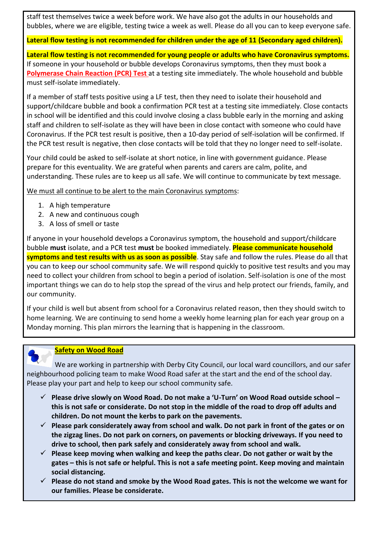staff test themselves twice a week before work. We have also got the adults in our households and bubbles, where we are eligible, testing twice a week as well. Please do all you can to keep everyone safe.

#### **Lateral flow testing is not recommended for children under the age of 11 (Secondary aged children).**

**Lateral flow testing is not recommended for young people or adults who have Coronavirus symptoms.** If someone in your household or bubble develops Coronavirus symptoms, then they must book a **Polymerase Chain Reaction (PCR) Test** at a testing site immediately. The whole household and bubble must self-isolate immediately.

If a member of staff tests positive using a LF test, then they need to isolate their household and support/childcare bubble and book a confirmation PCR test at a testing site immediately. Close contacts in school will be identified and this could involve closing a class bubble early in the morning and asking staff and children to self-isolate as they will have been in close contact with someone who could have Coronavirus. If the PCR test result is positive, then a 10-day period of self-isolation will be confirmed. If the PCR test result is negative, then close contacts will be told that they no longer need to self-isolate.

Your child could be asked to self-isolate at short notice, in line with government guidance. Please prepare for this eventuality. We are grateful when parents and carers are calm, polite, and understanding. These rules are to keep us all safe. We will continue to communicate by text message.

We must all continue to be alert to the main Coronavirus symptoms:

- 1. A high temperature
- 2. A new and continuous cough
- 3. A loss of smell or taste

If anyone in your household develops a Coronavirus symptom, the household and support/childcare bubble **must** isolate, and a PCR test **must** be booked immediately. **Please communicate household symptoms and test results with us as soon as possible**. Stay safe and follow the rules. Please do all that you can to keep our school community safe. We will respond quickly to positive test results and you may need to collect your children from school to begin a period of isolation. Self-isolation is one of the most important things we can do to help stop the spread of the virus and help protect our friends, family, and our community.

If your child is well but absent from school for a Coronavirus related reason, then they should switch to home learning. We are continuing to send home a weekly home learning plan for each year group on a Monday morning. This plan mirrors the learning that is happening in the classroom.

## **Safety on Wood Road**

 We are working in partnership with Derby City Council, our local ward councillors, and our safer neighbourhood policing team to make Wood Road safer at the start and the end of the school day. Please play your part and help to keep our school community safe.

- **Please drive slowly on Wood Road. Do not make a 'U-Turn' on Wood Road outside school – this is not safe or considerate. Do not stop in the middle of the road to drop off adults and children. Do not mount the kerbs to park on the pavements.**
- **Please park considerately away from school and walk. Do not park in front of the gates or on the zigzag lines. Do not park on corners, on pavements or blocking driveways. If you need to drive to school, then park safely and considerately away from school and walk.**
- **Please keep moving when walking and keep the paths clear. Do not gather or wait by the gates – this is not safe or helpful. This is not a safe meeting point. Keep moving and maintain social distancing.**
- **Please do not stand and smoke by the Wood Road gates. This is not the welcome we want for our families. Please be considerate.**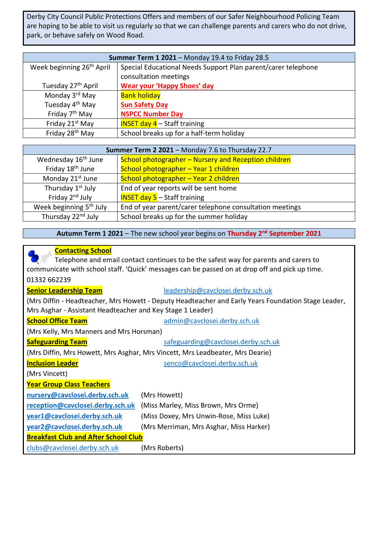Derby City Council Public Protections Offers and members of our Safer Neighbourhood Policing Team are hoping to be able to visit us regularly so that we can challenge parents and carers who do not drive, park, or behave safely on Wood Road.

| Summer Term 1 2021 - Monday 19.4 to Friday 28.5 |                                                               |  |
|-------------------------------------------------|---------------------------------------------------------------|--|
| Week beginning 26 <sup>th</sup> April           | Special Educational Needs Support Plan parent/carer telephone |  |
|                                                 | consultation meetings                                         |  |
| Tuesday 27 <sup>th</sup> April                  | <b>Wear your 'Happy Shoes' day</b>                            |  |
| Monday 3 <sup>rd</sup> May                      | <b>Bank holiday</b>                                           |  |
| Tuesday 4 <sup>th</sup> May                     | <b>Sun Safety Day</b>                                         |  |
| Friday 7 <sup>th</sup> May                      | <b>NSPCC Number Day</b>                                       |  |
| Friday 21 <sup>st</sup> May                     | <b>INSET day 4</b> $-$ Staff training                         |  |
| Friday 28 <sup>th</sup> May                     | School breaks up for a half-term holiday                      |  |

| Summer Term 2 2021 - Monday 7.6 to Thursday 22.7 |                                                          |  |
|--------------------------------------------------|----------------------------------------------------------|--|
| Wednesday 16 <sup>th</sup> June                  | School photographer – Nursery and Reception children     |  |
| Friday 18 <sup>th</sup> June                     | School photographer - Year 1 children                    |  |
| Monday 21 <sup>st</sup> June                     | School photographer - Year 2 children                    |  |
| Thursday 1 <sup>st</sup> July                    | End of year reports will be sent home                    |  |
| Friday 2 <sup>nd</sup> July                      | <b>INSET day 5</b> $-$ Staff training                    |  |
| Week beginning 5 <sup>th</sup> July              | End of year parent/carer telephone consultation meetings |  |
| Thursday 22 <sup>nd</sup> July                   | School breaks up for the summer holiday                  |  |

**Autumn Term 1 2021** – The new school year begins on **Thursday 2nd September 2021**

# **Contacting School**

|                                                                                                     | Telephone and email contact continues to be the safest way for parents and carers to           |  |  |
|-----------------------------------------------------------------------------------------------------|------------------------------------------------------------------------------------------------|--|--|
|                                                                                                     | communicate with school staff. 'Quick' messages can be passed on at drop off and pick up time. |  |  |
| 01332 662239                                                                                        |                                                                                                |  |  |
| <b>Senior Leadership Team</b>                                                                       | leadership@cavclosei.derby.sch.uk                                                              |  |  |
| (Mrs Diffin - Headteacher, Mrs Howett - Deputy Headteacher and Early Years Foundation Stage Leader, |                                                                                                |  |  |
| Mrs Asghar - Assistant Headteacher and Key Stage 1 Leader)                                          |                                                                                                |  |  |
| <b>School Office Team</b>                                                                           | admin@cavclosei.derby.sch.uk                                                                   |  |  |
| (Mrs Kelly, Mrs Manners and Mrs Horsman)                                                            |                                                                                                |  |  |
| <b>Safeguarding Team</b>                                                                            | safeguarding@cavclosei.derby.sch.uk                                                            |  |  |
| (Mrs Diffin, Mrs Howett, Mrs Asghar, Mrs Vincett, Mrs Leadbeater, Mrs Dearie)                       |                                                                                                |  |  |
| <b>Inclusion Leader</b>                                                                             | senco@cavclosei.derby.sch.uk                                                                   |  |  |
| (Mrs Vincett)                                                                                       |                                                                                                |  |  |
| <b>Year Group Class Teachers</b>                                                                    |                                                                                                |  |  |
| nursery@cavclosei.derby.sch.uk                                                                      | (Mrs Howett)                                                                                   |  |  |
| reception@cavclosei.derby.sch.uk                                                                    | (Miss Marley, Miss Brown, Mrs Orme)                                                            |  |  |
| year1@cavclosei.derby.sch.uk                                                                        | (Miss Doxey, Mrs Unwin-Rose, Miss Luke)                                                        |  |  |
| year2@cavclosei.derby.sch.uk                                                                        | (Mrs Merriman, Mrs Asghar, Miss Harker)                                                        |  |  |
| <b>Breakfast Club and After School Club</b>                                                         |                                                                                                |  |  |
| clubs@cavclosei.derby.sch.uk                                                                        | (Mrs Roberts)                                                                                  |  |  |